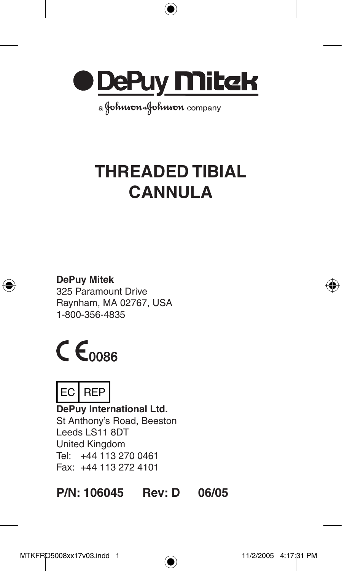

## **THREADED TIBIAL CANNULA**



**DePuy Mitek** 325 Paramount Drive

Raynham, MA 02767, USA 1-800-356-4835



# $|EC|$  REP

**DePuy International Ltd.**  St Anthony's Road, Beeston Leeds LS11 8DT United Kingdom Tel: +44 113 270 0461 Fax: +44 113 272 4101

## **P/N: 106045 Rev: D 06/05**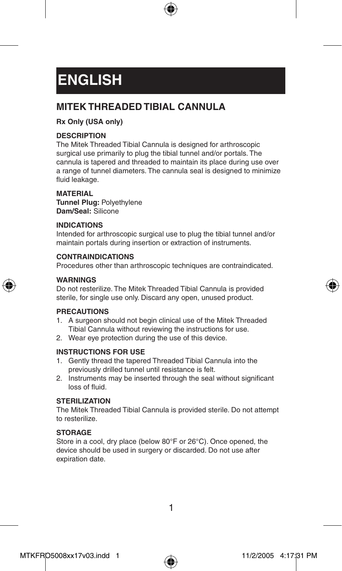

## **ENGLISH**

### **MITEK THREADED TIBIAL CANNULA**

#### **Rx Only (USA only)**

#### **DESCRIPTION**

The Mitek Threaded Tibial Cannula is designed for arthroscopic surgical use primarily to plug the tibial tunnel and/or portals. The cannula is tapered and threaded to maintain its place during use over a range of tunnel diameters. The cannula seal is designed to minimize fluid leakage.

#### **MATERIAL**

**Tunnel Plug:** Polyethylene **Dam/Seal:** Silicone

#### **INDICATIONS**

Intended for arthroscopic surgical use to plug the tibial tunnel and/or maintain portals during insertion or extraction of instruments.

#### **CONTRAINDICATIONS**

Procedures other than arthroscopic techniques are contraindicated.

#### **WARNINGS**

Do not resterilize. The Mitek Threaded Tibial Cannula is provided sterile, for single use only. Discard any open, unused product.

#### **PRECAUTIONS**

- 1. A surgeon should not begin clinical use of the Mitek Threaded Tibial Cannula without reviewing the instructions for use.
- 2. Wear eye protection during the use of this device.

#### **INSTRUCTIONS FOR USE**

- 1. Gently thread the tapered Threaded Tibial Cannula into the previously drilled tunnel until resistance is felt.
- 2. Instruments may be inserted through the seal without significant loss of fluid.

#### **STERILIZATION**

The Mitek Threaded Tibial Cannula is provided sterile. Do not attempt to resterilize.

#### **STORAGE**

Store in a cool, dry place (below 80°F or 26°C). Once opened, the device should be used in surgery or discarded. Do not use after expiration date.

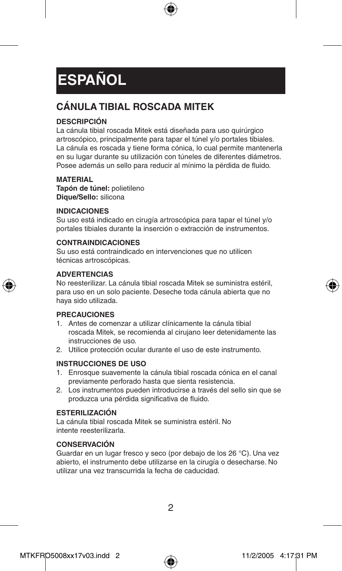

## **ESPAÑOL**

## **CÁNULA TIBIAL ROSCADA MITEK**

#### **DESCRIPCIÓN**

La cánula tibial roscada Mitek está diseñada para uso quirúrgico artroscópico, principalmente para tapar el túnel y/o portales tibiales. La cánula es roscada y tiene forma cónica, lo cual permite mantenerla en su lugar durante su utilización con túneles de diferentes diámetros. Posee además un sello para reducir al mínimo la pérdida de fluido.

#### **MATERIAL**

**Tapón de túnel:** polietileno **Dique/Sello:** silicona

#### **INDICACIONES**

Su uso está indicado en cirugía artroscópica para tapar el túnel y/o portales tibiales durante la inserción o extracción de instrumentos.

#### **CONTRAINDICACIONES**

Su uso está contraindicado en intervenciones que no utilicen técnicas artroscópicas.

#### **ADVERTENCIAS**

No reesterilizar. La cánula tibial roscada Mitek se suministra estéril, para uso en un solo paciente. Deseche toda cánula abierta que no haya sido utilizada.

#### **PRECAUCIONES**

- 1. Antes de comenzar a utilizar clínicamente la cánula tibial roscada Mitek, se recomienda al cirujano leer detenidamente las instrucciones de uso.
- 2. Utilice protección ocular durante el uso de este instrumento.

#### **INSTRUCCIONES DE USO**

- 1. Enrosque suavemente la cánula tibial roscada cónica en el canal previamente perforado hasta que sienta resistencia.
- 2. Los instrumentos pueden introducirse a través del sello sin que se produzca una pérdida significativa de fluido.

#### **ESTERILIZACIÓN**

La cánula tibial roscada Mitek se suministra estéril. No intente reesterilizarla.

#### **CONSERVACIÓN**

Guardar en un lugar fresco y seco (por debajo de los 26 °C). Una vez abierto, el instrumento debe utilizarse en la cirugía o desecharse. No utilizar una vez transcurrida la fecha de caducidad.



 $\mathfrak{p}$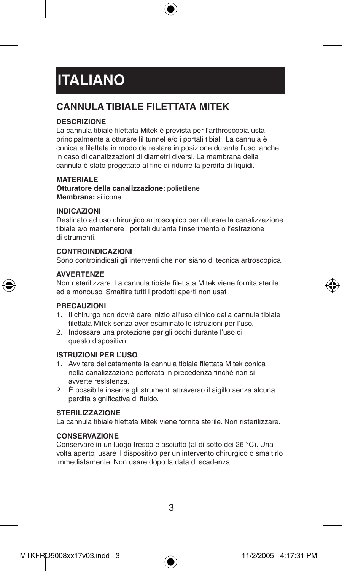

## **ITALIANO**

### **CANNULA TIBIALE FILETTATA MITEK**

#### **DESCRIZIONE**

La cannula tibiale filettata Mitek è prevista per l'arthroscopia usta principalmente a otturare lil tunnel e/o i portali tibiali. La cannula è conica e filettata in modo da restare in posizione durante l'uso, anche in caso di canalizzazioni di diametri diversi. La membrana della cannula è stato progettato al fine di ridurre la perdita di liquidi.

#### **MATERIALE**

**Otturatore della canalizzazione:** polietilene **Membrana:** silicone

#### **INDICAZIONI**

Destinato ad uso chirurgico artroscopico per otturare la canalizzazione tibiale e/o mantenere i portali durante l'inserimento o l'estrazione di strumenti.

#### **CONTROINDICAZIONI**

Sono controindicati gli interventi che non siano di tecnica artroscopica.

#### **AVVERTENZE**

Non risterilizzare. La cannula tibiale filettata Mitek viene fornita sterile ed è monouso. Smaltire tutti i prodotti aperti non usati.

#### **PRECAUZIONI**

- 1. Il chirurgo non dovrà dare inizio all'uso clinico della cannula tibiale filettata Mitek senza aver esaminato le istruzioni per l'uso.
- 2. Indossare una protezione per gli occhi durante l'uso di questo dispositivo.

#### **ISTRUZIONI PER L'USO**

- 1. Avvitare delicatamente la cannula tibiale filettata Mitek conica nella canalizzazione perforata in precedenza finché non si avverte resistenza.
- 2. È possibile inserire gli strumenti attraverso il sigillo senza alcuna perdita significativa di fluido.

#### **STERILIZZAZIONE**

La cannula tibiale filettata Mitek viene fornita sterile. Non risterilizzare.

#### **CONSERVAZIONE**

Conservare in un luogo fresco e asciutto (al di sotto dei 26 °C). Una volta aperto, usare il dispositivo per un intervento chirurgico o smaltirlo immediatamente. Non usare dopo la data di scadenza.

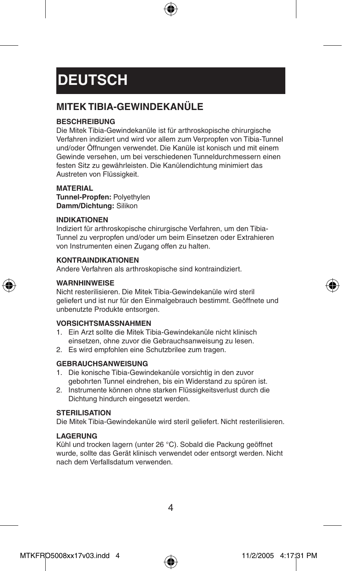

## **DEUTSCH**

### **MITEK TIBIA-GEWINDEKANÜLE**

#### **BESCHREIBUNG**

Die Mitek Tibia-Gewindekanüle ist für arthroskopische chirurgische Verfahren indiziert und wird vor allem zum Verpropfen von Tibia-Tunnel und/oder Öffnungen verwendet. Die Kanüle ist konisch und mit einem Gewinde versehen, um bei verschiedenen Tunneldurchmessern einen festen Sitz zu gewährleisten. Die Kanülendichtung minimiert das Austreten von Flüssigkeit.

#### **MATERIAL**

**Tunnel-Propfen:** Polyethylen **Damm/Dichtung:** Silikon

#### **INDIKATIONEN**

Indiziert für arthroskopische chirurgische Verfahren, um den Tibia-Tunnel zu verpropfen und/oder um beim Einsetzen oder Extrahieren von Instrumenten einen Zugang offen zu halten.

#### **KONTRAINDIKATIONEN**

Andere Verfahren als arthroskopische sind kontraindiziert.

#### **WARNHINWEISE**

Nicht resterilisieren. Die Mitek Tibia-Gewindekanüle wird steril geliefert und ist nur für den Einmalgebrauch bestimmt. Geöffnete und unbenutzte Produkte entsorgen.

#### **VORSICHTSMASSNAHMEN**

- 1. Ein Arzt sollte die Mitek Tibia-Gewindekanüle nicht klinisch einsetzen, ohne zuvor die Gebrauchsanweisung zu lesen.
- 2. Es wird empfohlen eine Schutzbrilee zum tragen.

#### **GEBRAUCHSANWEISUNG**

- 1. Die konische Tibia-Gewindekanüle vorsichtig in den zuvor gebohrten Tunnel eindrehen, bis ein Widerstand zu spüren ist.
- 2. Instrumente können ohne starken Flüssigkeitsverlust durch die Dichtung hindurch eingesetzt werden.

#### **STERILISATION**

Die Mitek Tibia-Gewindekanüle wird steril geliefert. Nicht resterilisieren.

#### **LAGERUNG**

Kühl und trocken lagern (unter 26 °C). Sobald die Packung geöffnet wurde, sollte das Gerät klinisch verwendet oder entsorgt werden. Nicht nach dem Verfallsdatum verwenden.

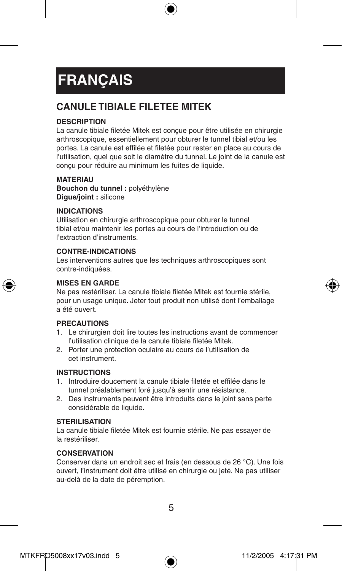

## **FRANÇAIS**

### **CANULE TIBIALE FILETEE MITEK**

#### **DESCRIPTION**

La canule tibiale filetée Mitek est conçue pour être utilisée en chirurgie arthroscopique, essentiellement pour obturer le tunnel tibial et/ou les portes. La canule est effilée et filetée pour rester en place au cours de l'utilisation, quel que soit le diamètre du tunnel. Le joint de la canule est conçu pour réduire au minimum les fuites de liquide.

#### **MATERIAU**

**Bouchon du tunnel :** polyéthylène **Digue/joint :** silicone

#### **INDICATIONS**

Utilisation en chirurgie arthroscopique pour obturer le tunnel tibial et/ou maintenir les portes au cours de l'introduction ou de l'extraction d'instruments.

#### **CONTRE-INDICATIONS**

Les interventions autres que les techniques arthroscopiques sont contre-indiquées.



#### **MISES EN GARDE**

Ne pas restériliser. La canule tibiale filetée Mitek est fournie stérile, pour un usage unique. Jeter tout produit non utilisé dont l'emballage a été ouvert.

#### **PRECAUTIONS**

- 1. Le chirurgien doit lire toutes les instructions avant de commencer l'utilisation clinique de la canule tibiale filetée Mitek.
- 2. Porter une protection oculaire au cours de l'utilisation de cet instrument.

#### **INSTRUCTIONS**

- 1. Introduire doucement la canule tibiale filetée et effilée dans le tunnel préalablement foré jusqu'à sentir une résistance.
- 2. Des instruments peuvent être introduits dans le joint sans perte considérable de liquide.

#### **STERILISATION**

La canule tibiale filetée Mitek est fournie stérile. Ne pas essayer de la restériliser.

#### **CONSERVATION**

Conserver dans un endroit sec et frais (en dessous de 26 °C). Une fois ouvert, l'instrument doit être utilisé en chirurgie ou jeté. Ne pas utiliser au-delà de la date de péremption.

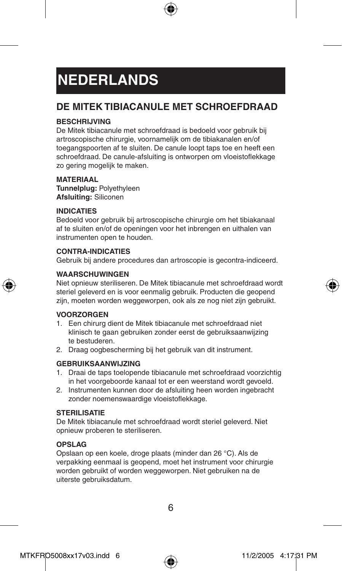

## **NEDERLANDS**

### **DE MITEK TIBIACANULE MET SCHROEFDRAAD**

#### **BESCHRIJVING**

De Mitek tibiacanule met schroefdraad is bedoeld voor gebruik bij artroscopische chirurgie, voornamelijk om de tibiakanalen en/of toegangspoorten af te sluiten. De canule loopt taps toe en heeft een schroefdraad. De canule-afsluiting is ontworpen om vloeistoflekkage zo gering mogelijk te maken.

#### **MATERIAAL**

**Tunnelplug:** Polyethyleen **Afsluiting:** Siliconen

#### **INDICATIES**

Bedoeld voor gebruik bij artroscopische chirurgie om het tibiakanaal af te sluiten en/of de openingen voor het inbrengen en uithalen van instrumenten open te houden.

#### **CONTRA-INDICATIES**

Gebruik bij andere procedures dan artroscopie is gecontra-indiceerd.

#### **WAARSCHUWINGEN**

Niet opnieuw steriliseren. De Mitek tibiacanule met schroefdraad wordt steriel geleverd en is voor eenmalig gebruik. Producten die geopend zijn, moeten worden weggeworpen, ook als ze nog niet zijn gebruikt.

#### **VOORZORGEN**

- 1. Een chirurg dient de Mitek tibiacanule met schroefdraad niet klinisch te gaan gebruiken zonder eerst de gebruiksaanwijzing te bestuderen.
- 2. Draag oogbescherming bij het gebruik van dit instrument.

#### **GEBRUIKSAANWIJZING**

- 1. Draai de taps toelopende tibiacanule met schroefdraad voorzichtig in het voorgeboorde kanaal tot er een weerstand wordt gevoeld.
- 2. Instrumenten kunnen door de afsluiting heen worden ingebracht zonder noemenswaardige vloeistoflekkage.

#### **STERILISATIE**

De Mitek tibiacanule met schroefdraad wordt steriel geleverd. Niet opnieuw proberen te steriliseren.

#### **OPSLAG**

Opslaan op een koele, droge plaats (minder dan 26 °C). Als de verpakking eenmaal is geopend, moet het instrument voor chirurgie worden gebruikt of worden weggeworpen. Niet gebruiken na de uiterste gebruiksdatum.

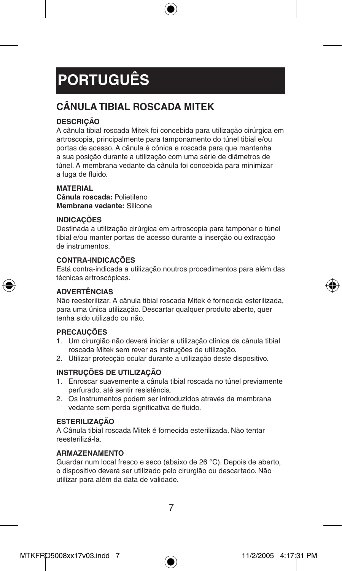

### **CÂNULA TIBIAL ROSCADA MITEK**

#### **DESCRIÇÃO**

A cânula tibial roscada Mitek foi concebida para utilização cirúrgica em artroscopia, principalmente para tamponamento do túnel tibial e/ou portas de acesso. A cânula é cónica e roscada para que mantenha a sua posição durante a utilização com uma série de diâmetros de túnel. A membrana vedante da cânula foi concebida para minimizar a fuga de fluido.

#### **MATERIAL**

**Cânula roscada:** Polietileno **Membrana vedante:** Silicone

#### **INDICAÇÕES**

Destinada a utilização cirúrgica em artroscopia para tamponar o túnel tibial e/ou manter portas de acesso durante a inserção ou extracção de instrumentos.

#### **CONTRA-INDICAÇÕES**

Está contra-indicada a utilização noutros procedimentos para além das técnicas artroscópicas.

#### **ADVERTÊNCIAS**

Não reesterilizar. A cânula tibial roscada Mitek é fornecida esterilizada, para uma única utilização. Descartar qualquer produto aberto, quer tenha sido utilizado ou não.

#### **PRECAUÇÕES**

- 1. Um cirurgião não deverá iniciar a utilização clínica da cânula tibial roscada Mitek sem rever as instruções de utilização.
- 2. Utilizar protecção ocular durante a utilização deste dispositivo.

#### **INSTRUÇÕES DE UTILIZAÇÃO**

- 1. Enroscar suavemente a cânula tibial roscada no túnel previamente perfurado, até sentir resistência.
- 2. Os instrumentos podem ser introduzidos através da membrana vedante sem perda significativa de fluido.

#### **ESTERILIZAÇÃO**

A Cânula tibial roscada Mitek é fornecida esterilizada. Não tentar reesterilizá-la.

#### **ARMAZENAMENTO**

Guardar num local fresco e seco (abaixo de 26 °C). Depois de aberto, o dispositivo deverá ser utilizado pelo cirurgião ou descartado. Não utilizar para além da data de validade.



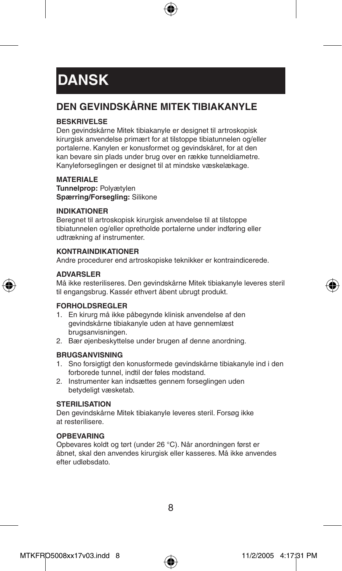

## **DANSK**

### **DEN GEVINDSKÅRNE MITEK TIBIAKANYLE**

#### **BESKRIVELSE**

Den gevindskårne Mitek tibiakanyle er designet til artroskopisk kirurgisk anvendelse primært for at tilstoppe tibiatunnelen og/eller portalerne. Kanylen er konusformet og gevindskåret, for at den kan bevare sin plads under brug over en række tunneldiametre. Kanyleforseglingen er designet til at mindske væskelækage.

#### **MATERIALE**

**Tunnelprop:** Polyætylen **Spærring/Forsegling:** Silikone

#### **INDIKATIONER**

Beregnet til artroskopisk kirurgisk anvendelse til at tilstoppe tibiatunnelen og/eller opretholde portalerne under indføring eller udtrækning af instrumenter.

#### **KONTRAINDIKATIONER**

Andre procedurer end artroskopiske teknikker er kontraindicerede.

#### **ADVARSLER**

Må ikke resteriliseres. Den gevindskårne Mitek tibiakanyle leveres steril til engangsbrug. Kassér ethvert åbent ubrugt produkt.

#### **FORHOLDSREGLER**

- 1. En kirurg må ikke påbegynde klinisk anvendelse af den gevindskårne tibiakanyle uden at have gennemlæst brugsanvisningen.
- 2. Bær øjenbeskyttelse under brugen af denne anordning.

#### **BRUGSANVISNING**

- 1. Sno forsigtigt den konusformede gevindskårne tibiakanyle ind i den forborede tunnel, indtil der føles modstand.
- 2. Instrumenter kan indsættes gennem forseglingen uden betydeligt væsketab.

#### **STERILISATION**

Den gevindskårne Mitek tibiakanyle leveres steril. Forsøg ikke at resterilisere.

#### **OPBEVARING**

Opbevares koldt og tørt (under 26 °C). Når anordningen først er åbnet, skal den anvendes kirurgisk eller kasseres. Må ikke anvendes efter udløbsdato.

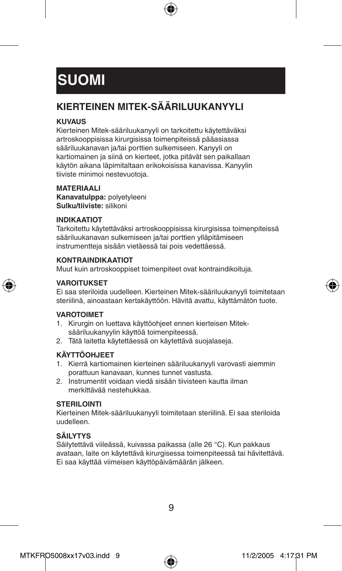

## **SUOMI**

### **KIERTEINEN MITEK-SÄÄRILUUKANYYLI**

#### **KUVAUS**

Kierteinen Mitek-sääriluukanyyli on tarkoitettu käytettäväksi artroskooppisissa kirurgisissa toimenpiteissä pääasiassa sääriluukanavan ja/tai porttien sulkemiseen. Kanyyli on kartiomainen ja siinä on kierteet, jotka pitävät sen paikallaan käytön aikana läpimitaltaan erikokoisissa kanavissa. Kanyylin tiiviste minimoi nestevuotoja.

#### **MATERIAALI**

**Kanavatulppa:** polyetyleeni **Sulku/tiiviste:** silikoni

#### **INDIKAATIOT**

Tarkoitettu käytettäväksi artroskooppisissa kirurgisissa toimenpiteissä sääriluukanavan sulkemiseen ja/tai porttien ylläpitämiseen instrumentteja sisään vietäessä tai pois vedettäessä.

#### **KONTRAINDIKAATIOT**

Muut kuin artroskooppiset toimenpiteet ovat kontraindikoituja.

#### **VAROITUKSET**

Ei saa steriloida uudelleen. Kierteinen Mitek-sääriluukanyyli toimitetaan steriilinä, ainoastaan kertakäyttöön. Hävitä avattu, käyttämätön tuote.

#### **VAROTOIMET**

- 1. Kirurgin on luettava käyttöohjeet ennen kierteisen Miteksääriluukanyylin käyttöä toimenpiteessä.
- 2. Tätä laitetta käytettäessä on käytettävä suojalaseja.

#### **KÄYTTÖOHJEET**

- 1. Kierrä kartiomainen kierteinen sääriluukanyyli varovasti aiemmin porattuun kanavaan, kunnes tunnet vastusta.
- 2. Instrumentit voidaan viedä sisään tiivisteen kautta ilman merkittävää nestehukkaa.

#### **STERILOINTI**

Kierteinen Mitek-sääriluukanyyli toimitetaan steriilinä. Ei saa steriloida uudelleen.

#### **SÄILYTYS**

Säilytettävä viileässä, kuivassa paikassa (alle 26 °C). Kun pakkaus avataan, laite on käytettävä kirurgisessa toimenpiteessä tai hävitettävä. Ei saa käyttää viimeisen käyttöpäivämäärän jälkeen.

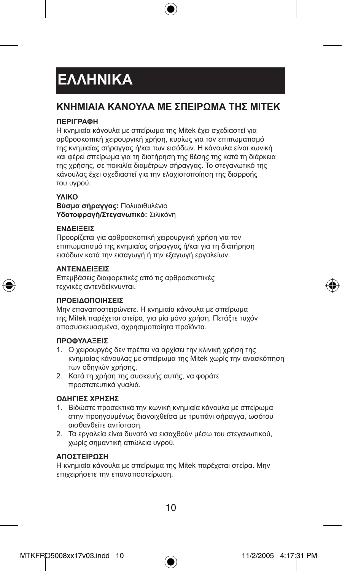

### **ΚΝΗΜΙΑΙΑ ΚΑΝΟΥΛΑ ΜΕ ΣΠΕΙΡΩΜΑ ΤΗΣ MITEK**

#### **ΠΕΡΙΓΡΑΦΗ**

Η κνημιαία κάνουλα με σπείρωμα της Mitek έχει σχεδιαστεί για αρθροσκοπική χειρουργική χρήση, κυρίως για τον επιπωματισμό της κνημιαίας σήραγγας ή/και των εισόδων. Η κάνουλα είναι κωνική και φέρει σπείρωμα για τη διατήρηση της θέσης της κατά τη διάρκεια της χρήσης, σε ποικιλία διαμέτρων σήραγγας. Το στεγανωτικό της κάνουλας έχει σχεδιαστεί για την ελαχιστοποίηση της διαρροής του υγρού.

#### **ΥΛΙΚΟ**

**Βύσμα σήραγγας:** Πολυαιθυλένιο **Υδατοφραγή/Στεγανωτικό:** Σιλικόνη

#### **ΕΝΔΕΙΞΕΙΣ**

Προορίζεται για αρθροσκοπική χειρουργική χρήση για τον επιπωματισμό της κνημιαίας σήραγγας ή/και για τη διατήρηση εισόδων κατά την εισαγωγή ή την εξαγωγή εργαλείων.

#### **ΑΝΤΕΝΔΕΙΞΕΙΣ**

Επεμβάσεις διαφορετικές από τις αρθροσκοπικές τεχνικές αντενδείκνυνται.

#### **ΠΡΟΕΙΔΟΠΟΙΗΣΕΙΣ**

Μην επαναποστειρώνετε. Η κνημιαία κάνουλα με σπείρωμα της Mitek παρέχεται στείρα, για μία μόνο χρήση. Πετάξτε τυχόν αποσυσκευασμένα, αχρησιμοποίητα προϊόντα.

#### **ΠΡΟΦΥΛΑΞΕΙΣ**

- 1. Ο χειρουργός δεν πρέπει να αρχίσει την κλινική χρήση της κνημιαίας κάνουλας με σπείρωμα της Mitek χωρίς την ανασκόπηση των οδηγιών χρήσης.
- 2. Κατά τη χρήση της συσκευής αυτής, να φοράτε προστατευτικά γυαλιά.

#### **ΟΔΗΓΙΕΣ ΧΡΗΣΗΣ**

- 1. Βιδώστε προσεκτικά την κωνική κνημιαία κάνουλα με σπείρωμα στην προηγουμένως διανοιχθείσα με τρυπάνι σήραγγα, ωσότου αισθανθείτε αντίσταση.
- 2. Τα εργαλεία είναι δυνατό να εισαχθούν μέσω του στεγανωτικού, χωρίς σημαντική απώλεια υγρού.

#### **ΑΠΟΣΤΕΙΡΩΣΗ**

Η κνημιαία κάνουλα με σπείρωμα της Mitek παρέχεται στείρα. Μην επιχειρήσετε την επαναποστείρωση.

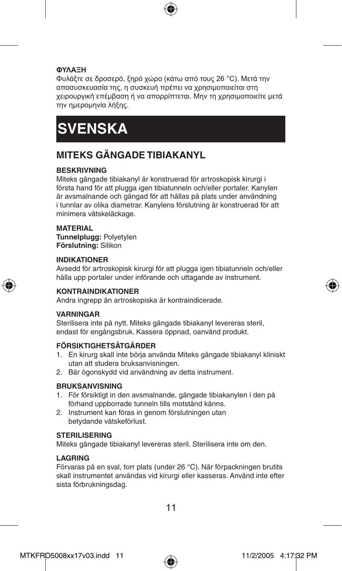

#### **ΦΥΛΑΞΗ**

Φυλάξτε σε δροσερό, ξηρό χώρο (κάτω από τους 26 °C). Μετά την αποσυσκευασία της, η συσκευή πρέπει να χρησιμοποιείται στη χειρουργική επέμβαση ή να απορρίπτεται. Μην τη χρησιμοποιείτε μετά την ημερομηνία λήξης.

## **SVENSKA**

### **MITEKS GÄNGADE TIBIAKANYL**

#### **BESKRIVNING**

Miteks gängade tibiakanyl är konstruerad för artroskopisk kirurgi i första hand för att plugga igen tibiatunneln och/eller portaler. Kanylen är avsmalnande och gängad för att hållas på plats under användning i tunnlar av olika diametrar. Kanylens förslutning är konstruerad för att minimera vätskeläckage.

#### **MATERIAL**

**Tunnelplugg:** Polyetylen **Förslutning:** Silikon

#### **INDIKATIONER**

Avsedd för artroskopisk kirurgi för att plugga igen tibiatunneln och/eller hålla upp portaler under införande och uttagande av instrument.

#### **KONTRAINDIKATIONER**

Andra ingrepp än artroskopiska är kontraindicerade.

#### **VARNINGAR**

Sterilisera inte på nytt. Miteks gängade tibiakanyl levereras steril, endast för engångsbruk. Kassera öppnad, oanvänd produkt.

#### **FÖRSIKTIGHETSÅTGÄRDER**

- 1. En kirurg skall inte börja använda Miteks gängade tibiakanyl kliniskt utan att studera bruksanvisningen.
- 2. Bär ögonskydd vid användning av detta instrument.

#### **BRUKSANVISNING**

- 1. För försiktigt in den avsmalnande, gängade tibiakanylen i den på förhand uppborrade tunneln tills motstånd känns.
- 2. Instrument kan föras in genom förslutningen utan betydande vätskeförlust.

#### **STERILISERING**

Miteks gängade tibiakanyl levereras steril. Sterilisera inte om den.

#### **LAGRING**

Förvaras på en sval, torr plats (under 26 °C). När förpackningen brutits skall instrumentet användas vid kirurgi eller kasseras. Använd inte efter sista förbrukningsdag.

11

MTKFRO5008xx17v03.indd 11 (11/2/2005 4:17:32 PM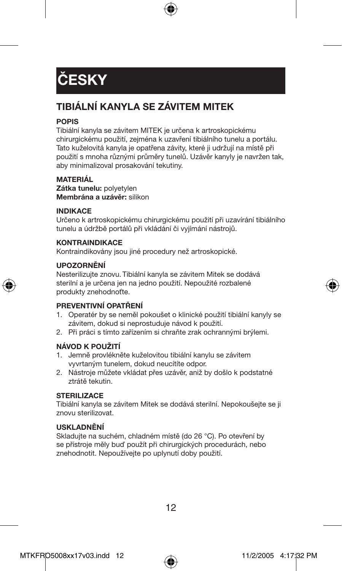## **ČESKY**

### **TIBIÁLNÍ KANYLA SE ZÁVITEM MITEK**

#### **POPIS**

Tibiální kanyla se závitem MITEK je určena k artroskopickému chirurgickému použití, zejména k uzavření tibiálního tunelu a portálu. Tato kuželovitá kanyla je opatřena závity, které ji udržují na místě při použití s mnoha různými průměry tunelů. Uzávěr kanyly je navržen tak, aby minimalizoval prosakování tekutiny.

#### **MATERIÁL**

**Zátka tunelu:** polyetylen **Membrána a uzávěr:** silikon

#### **INDIKACE**

Určeno k artroskopickému chirurgickému použití při uzavírání tibiálního tunelu a údržbě portálů při vkládání či vyjímání nástrojů.

#### **KONTRAINDIKACE**

Kontraindikovány jsou jiné procedury než artroskopické.

#### **UPOZORNĚNÍ**

Nesterilizujte znovu. Tibiální kanyla se závitem Mitek se dodává sterilní a je určena jen na jedno použití. Nepoužité rozbalené produkty znehodnoťte.

#### **PREVENTIVNÍ OPATŘENÍ**

- 1. Operatér by se neměl pokoušet o klinické použití tibiální kanyly se závitem, dokud si neprostuduje návod k použití.
- 2. Při práci s tímto zařízením si chraňte zrak ochrannými brýlemi.

#### **NÁVOD K POUŽITÍ**

- 1. Jemně provlékněte kuželovitou tibiální kanylu se závitem vyvrtaným tunelem, dokud neucítíte odpor.
- 2. Nástroje můžete vkládat přes uzávěr, aniž by došlo k podstatné ztrátě tekutin.

#### **STERILIZACE**

Tibiální kanyla se závitem Mitek se dodává sterilní. Nepokoušejte se ji znovu sterilizovat.

#### **USKLADNĚNÍ**

Skladujte na suchém, chladném místě (do 26 °C). Po otevření by se přístroje měly buď použít při chirurgických procedurách, nebo znehodnotit. Nepoužívejte po uplynutí doby použití.

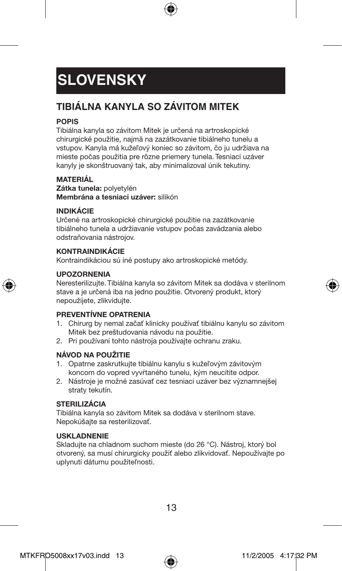

### **TIBIÁLNA KANYLA SO ZÁVITOM MITEK**

#### **POPIS**

Tibiálna kanyla so závitom Mitek je určená na artroskopické chirurgické použitie, najmä na zazátkovanie tibiálneho tunelu a vstupov. Kanyla má kužeľový koniec so závitom, čo ju udržiava na mieste počas použitia pre rôzne priemery tunela. Tesniaci uzáver kanyly je skonštruovaný tak, aby minimalizoval únik tekutiny.

#### **MATERIÁL**

**Zátka tunela:** polyetylén **Membrána a tesniaci uzáver:** silikón

#### **INDIKÁCIE**

Určené na artroskopické chirurgické použitie na zazátkovanie tibiálneho tunela a udržiavanie vstupov počas zavádzania alebo odstraňovania nástrojov.

#### **KONTRAINDIKÁCIE**

Kontraindikáciou sú iné postupy ako artroskopické metódy.

#### **UPOZORNENIA**

Neresterilizujte. Tibiálna kanyla so závitom Mitek sa dodáva v sterilnom stave a je určená iba na jedno použitie. Otvorený produkt, ktorý nepoužijete, zlikvidujte.

#### **PREVENTÍVNE OPATRENIA**

- 1. Chirurg by nemal začať klinicky používať tibiálnu kanylu so závitom Mitek bez preštudovania návodu na použitie.
- 2. Pri používaní tohto nástroja používajte ochranu zraku.

#### **NÁVOD NA POUŽITIE**

- 1. Opatrne zaskrutkujte tibiálnu kanylu s kužeľovým závitovým koncom do vopred vyvŕtaného tunelu, kým neucítite odpor.
- 2. Nástroje je možné zasúvať cez tesniaci uzáver bez významnejšej straty tekutín.

#### **STERILIZÁCIA**

Tibiálna kanyla so závitom Mitek sa dodáva v sterilnom stave. Nepokúšajte sa resterilizovať.

#### **USKLADNENIE**

Skladujte na chladnom suchom mieste (do 26 °C). Nástroj, ktorý bol otvorený, sa musí chirurgicky použiť alebo zlikvidovať. Nepoužívajte po uplynutí dátumu použiteľnosti.

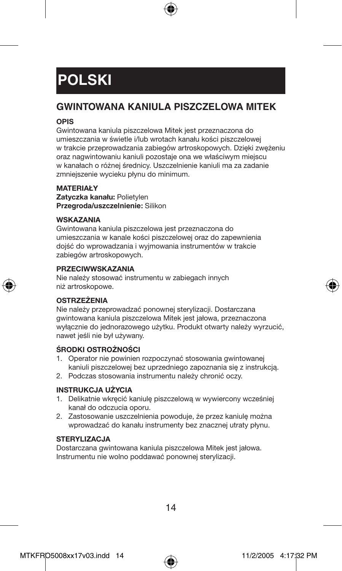

## **POLSKI**

### **GWINTOWANA KANIULA PISZCZELOWA MITEK**

#### **OPIS**

Gwintowana kaniula piszczelowa Mitek jest przeznaczona do umieszczania w świetle i/lub wrotach kanału kości piszczelowej w trakcie przeprowadzania zabiegów artroskopowych. Dzięki zwężeniu oraz nagwintowaniu kaniuli pozostaje ona we właściwym miejscu w kanałach o różnej średnicy. Uszczelnienie kaniuli ma za zadanie zmniejszenie wycieku płynu do minimum.

#### **MATERIAŁY**

**Zatyczka kanału:** Polietylen **Przegroda/uszczelnienie:** Silikon

#### **WSKAZANIA**

Gwintowana kaniula piszczelowa jest przeznaczona do umieszczania w kanale kości piszczelowej oraz do zapewnienia dojść do wprowadzania i wyjmowania instrumentów w trakcie zabiegów artroskopowych.

#### **PRZECIWWSKAZANIA**

Nie należy stosować instrumentu w zabiegach innych niż artroskopowe.

#### **OSTRZEŻENIA**

Nie należy przeprowadzać ponownej sterylizacji. Dostarczana gwintowana kaniula piszczelowa Mitek jest jałowa, przeznaczona wyłącznie do jednorazowego użytku. Produkt otwarty należy wyrzucić, nawet jeśli nie był używany.

#### **ŚRODKI OSTROŻNOŚCI**

- 1. Operator nie powinien rozpoczynać stosowania gwintowanej kaniuli piszczelowej bez uprzedniego zapoznania się z instrukcją.
- 2. Podczas stosowania instrumentu należy chronić oczy.

#### **INSTRUKCJA UŻYCIA**

- 1. Delikatnie wkręcić kaniulę piszczelową w wywiercony wcześniej kanał do odczucia oporu.
- 2. Zastosowanie uszczelnienia powoduje, że przez kaniulę można wprowadzać do kanału instrumenty bez znacznej utraty płynu.

#### **STERYLIZACJA**

Dostarczana gwintowana kaniula piszczelowa Mitek jest jałowa. Instrumentu nie wolno poddawać ponownej sterylizacji.

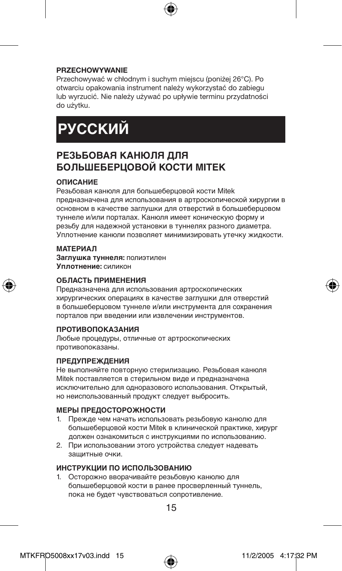

#### **PRZECHOWYWANIE**

Przechowywać w chłodnym i suchym miejscu (poniżej 26°C). Po otwarciu opakowania instrument należy wykorzystać do zabiegu lub wyrzucić. Nie należy używać po upływie terminu przydatności do użytku.

## **РУССКИЙ**

### **РЕЗЬБОВАЯ КАНЮЛЯ ДЛЯ БОЛЬШЕБЕРЦОВОЙ КОСТИ MITEK**

#### **ОПИСАНИЕ**

Резьбовая канюля для большеберцовой кости Mitek предназначена для использования в артроскопической хирургии в основном в качестве заглушки для отверстий в большеберцовом туннеле и/или порталах. Канюля имеет коническую форму и резьбу для надежной установки в туннелях разного диаметра. Уплотнение канюли позволяет минимизировать утечку жидкости.

#### **МАТЕРИАЛ**

**Заглушка туннеля:** полиэтилен **Уплотнение:** силикон

#### **ОБЛАСТЬ ПРИМЕНЕНИЯ**

Предназначена для использования артроскопических хирургических операциях в качестве заглушки для отверстий в большеберцовом туннеле и/или инструмента для сохранения порталов при введении или извлечении инструментов.

#### **ПРОТИВОПОКАЗАНИЯ**

Любые процедуры, отличные от артроскопических противопоказаны.

#### **ПРЕДУПРЕЖДЕНИЯ**

Не выполняйте повторную стерилизацию. Резьбовая канюля Mitek поставляется в стерильном виде и предназначена исключительно для одноразового использования. Открытый, но неиспользованный продукт следует выбросить.

#### **МЕРЫ ПРЕДОСТОРОЖНОСТИ**

- 1. Прежде чем начать использовать резьбовую канюлю для большеберцовой кости Mitek в клинической практике, хирург должен ознакомиться с инструкциями по использованию.
- 2. При использовании этого устройства следует надевать защитные очки.

#### **ИНСТРУКЦИИ ПО ИСПОЛЬЗОВАНИЮ**

1. Осторожно вворачивайте резьбовую канюлю для большеберцовой кости в ранее просверленный туннель, пока не будет чувствоваться сопротивление.



MTKFRO5008xx17v03.indd 15 ( $\bigoplus$  11/2/2005 4:17:32 PM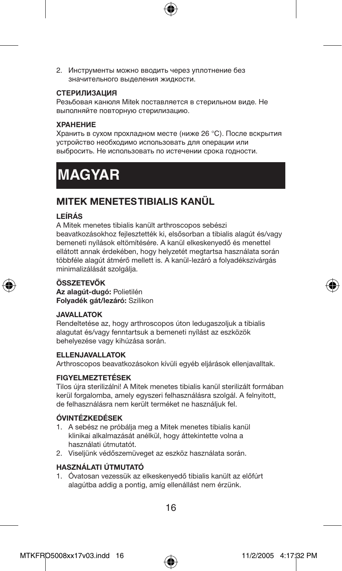2. Инструменты можно вводить через уплотнение без значительного выделения жидкости.

#### **СТЕРИЛИЗАЦИЯ**

Резьбовая канюля Mitek поставляется в стерильном виде. Не выполняйте повторную стерилизацию.

#### **ХРАНЕНИЕ**

Хранить в сухом прохладном месте (ниже 26 °C). После вскрытия устройство необходимо использовать для операции или выбросить. Не использовать по истечении срока годности.

## **MAGYAR**

### **MITEK MENETES TIBIALIS KANÜL**

#### **LEÍRÁS**

A Mitek menetes tibialis kanült arthroscopos sebészi beavatkozásokhoz fejlesztették ki, elsősorban a tibialis alagút és/vagy bemeneti nyílások eltömítésére. A kanül elkeskenyedő és menettel ellátott annak érdekében, hogy helyzetét megtartsa használata során többféle alagút átmérő mellett is. A kanül-lezáró a folyadékszivárgás minimalizálását szolgálja.

#### **ÖSSZETEVŐK**

**Az alagút-dugó:** Polietilén **Folyadék gát/lezáró:** Szilikon

#### **JAVALLATOK**

Rendeltetése az, hogy arthroscopos úton ledugaszoljuk a tibialis alagutat és/vagy fenntartsuk a bemeneti nyílást az eszközök behelyezése vagy kihúzása során.

#### **ELLENJAVALLATOK**

Arthroscopos beavatkozásokon kívüli egyéb eljárások ellenjavalltak.

#### **FIGYELMEZTETÉSEK**

Tilos újra sterilizálni! A Mitek menetes tibialis kanül sterilizált formában kerül forgalomba, amely egyszeri felhasználásra szolgál. A felnyitott, de felhasználásra nem került terméket ne használjuk fel.

#### **ÓVINTÉZKEDÉSEK**

- 1. A sebész ne próbálja meg a Mitek menetes tibialis kanül klinikai alkalmazását anélkül, hogy áttekintette volna a használati útmutatót.
- 2. Viseljünk védőszemüveget az eszköz használata során.

#### **HASZNÁLATI ÚTMUTATÓ**

1. Óvatosan vezessük az elkeskenyedő tibialis kanült az előfúrt alagútba addig a pontig, amíg ellenállást nem érzünk.



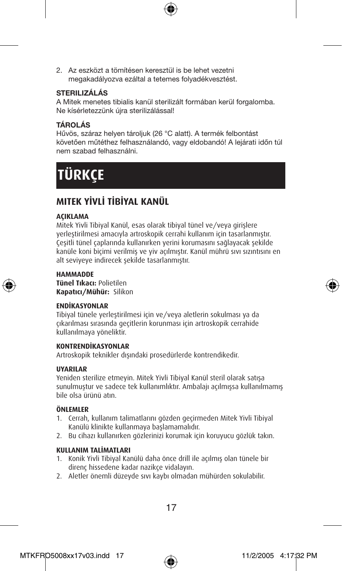- 
- 2. Az eszközt a tömítésen keresztül is be lehet vezetni megakadályozva ezáltal a tetemes folyadékvesztést.

### **STERILIZÁLÁS**

A Mitek menetes tibialis kanül sterilizált formában kerül forgalomba. Ne kísérletezzünk újra sterilizálással!

### **TÁROLÁS**

Hűvös, száraz helyen tároljuk (26 °C alatt). A termék felbontást követően műtéthez felhasználandó, vagy eldobandó! A lejárati időn túl nem szabad felhasználni.

## **TÜRKÇE**

## **MITEK YİVLİ TİBİYAL KANÜL**

#### **AÇIKLAMA**

Mitek Yivli Tibiyal Kanül, esas olarak tibiyal tünel ve/veya girişlere yerleştirilmesi amacıyla artroskopik cerrahi kullanım için tasarlanmıştır. Çeşitli tünel çaplarında kullanırken yerini korumasını sağlayacak şekilde kanüle koni biçimi verilmiş ve yiv açılmıştır. Kanül mührü sıvı sızıntısını en alt seviyeye indirecek şekilde tasarlanmıştır.

#### **HAMMADDE**

**Tünel Tıkacı:** Polietilen **Kapatıcı/Mühür:** Silikon

#### **ENDİKASYONLAR**

Tibiyal tünele yerleştirilmesi için ve/veya aletlerin sokulması ya da çıkarılması sırasında geçitlerin korunması için artroskopik cerrahide kullanılmaya yöneliktir.

#### **KONTRENDİKASYONLAR**

Artroskopik teknikler dışındaki prosedürlerde kontrendikedir.

#### **UYARILAR**

Yeniden sterilize etmeyin. Mitek Yivli Tibiyal Kanül steril olarak satışa sunulmuştur ve sadece tek kullanımlıktır. Ambalajı açılmışsa kullanılmamış bile olsa ürünü atın.

#### **ÖNLEMLER**

- 1. Cerrah, kullanım talimatlarını gözden geçirmeden Mitek Yivli Tibiyal Kanülü klinikte kullanmaya başlamamalıdır.
- 2. Bu cihazı kullanırken gözlerinizi korumak için koruyucu gözlük takın.

#### **KULLANIM TALİMATLARI**

- 1. Konik Yivli Tibiyal Kanülü daha önce drill ile açılmış olan tünele bir direnç hissedene kadar nazikçe vidalayın.
- 2. Aletler önemli düzeyde sıvı kaybı olmadan mühürden sokulabilir.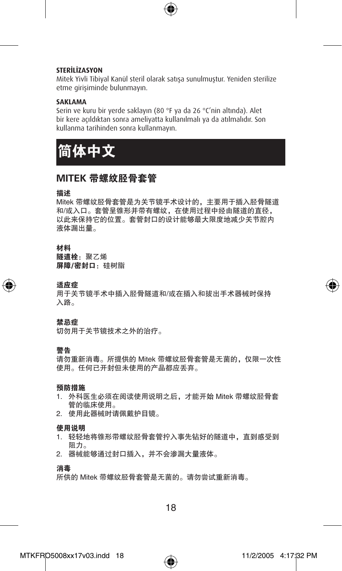

#### **STERİLİZASYON**

Mitek Yivli Tibiyal Kanül steril olarak satışa sunulmuştur. Yeniden sterilize etme girişiminde bulunmayın.

#### **SAKLAMA**

Serin ve kuru bir yerde saklayın (80 °F ya da 26 °C'nin altında). Alet bir kere açıldıktan sonra ameliyatta kullanılmalı ya da atılmalıdır. Son kullanma tarihinden sonra kullanmayın.

简体中文

#### MITEK 带螺纹胫骨套管

#### 描述

Mitek 带螺纹胫骨套管是为关节镜手术设计的,主要用于插入胫骨隧道 和/或入口。套管呈锥形并带有螺纹,在使用过程中经由隧道的直径, 以此来保持它的位置。套管封口的设计能够最大限度地减少关节腔内 液体漏出量。

#### 材料

隧道栓:聚乙烯 屏障/密封口:硅树脂

#### 适应症

用于关节镜手术中插入胫骨隧道和/或在插入和拔出手术器械时保持 入路。

#### 禁忌症

切勿用于关节镜技术之外的治疗。

#### 警告

请勿重新消毒。所提供的 Mitek 带螺纹胫骨套管是无菌的,仅限一次性 使用。任何已开封但未使用的产品都应丢弃。

#### 预防措施

- 1. 外科医生必须在阅读使用说明之后,才能开始 Mitek 带螺纹胫骨套 管的临床使用。
- 2. 使用此器械时请佩戴护目镜。

#### 使用说明

- 1. 轻轻地将锥形带螺纹胫骨套管拧入事先钻好的隧道中,直到感受到 阻力。
- 2. 器械能够通过封口插入,并不会渗漏大量液体。

#### 消毒

所供的 Mitek 带螺纹胫骨套管是无菌的。请勿尝试重新消毒。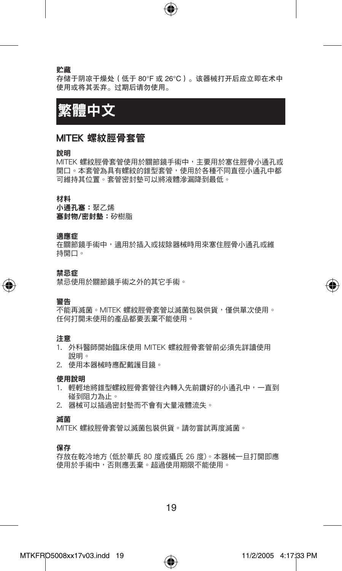

#### 贮藏

存储于阴凉干燥处(低于 80°F 或 26°C)。该器械打开后应立即在术中 使用或将其丢弃。过期后请勿使用。

## 繁體中文

#### MITEK 螺紋脛骨套管

#### 說明

MITEK 螺紋脛骨套管使用於關節鏡手術中,主要用於塞住脛骨小通孔或 開口。本套管為具有螺紋的錐型套管,使用於各種不同直徑小通孔中都 可維持其位置。套管密封墊可以將液體滲漏降到最低。

#### 材料

小通孔塞:聚乙烯 塞封物/密封墊:矽樹脂

#### 適應症

在關節鏡手術中,適用於插入或拔除器械時用來塞住脛骨小通孔或維 持開口。

#### 禁忌症

禁忌使用於關節鏡手術之外的其它手術。

#### 警告

不能再滅菌。MITEK 螺紋脛骨套管以滅菌包裝供貨,僅供單次使用。 任何打開未使用的產品都要丟棄不能使用。

#### 注意

- 1. 外科醫師開始臨床使用 MITEK 螺紋脛骨套管前必須先詳讀使用 說明。
- 2. 使用本器械時應配戴護目鏡。

#### 使用說明

- 1. 輕輕地將錐型螺紋脛骨套管往內轉入先前鑽好的小通孔中,一直到 碰到阻力為止。
- 2. 器械可以插過密封墊而不會有大量液體流失。

#### 滅菌

MITEK 螺紋脛骨套管以滅菌包裝供貨。請勿嘗試再度滅菌。

#### 保存

存放在乾冷地方 (低於華氏 80 度或攝氏 26 度)。本器械一旦打開即應 使用於手術中,否則應丟棄。超過使用期限不能使用。



₩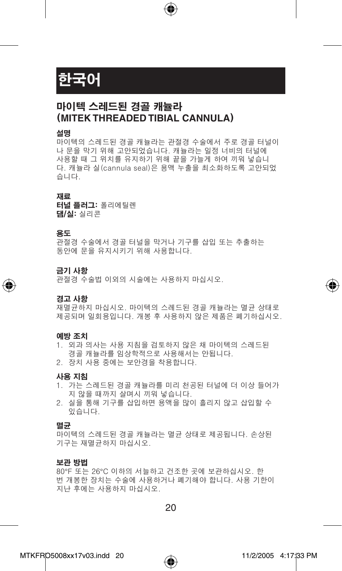

### 마이텍 스레드된 경골 캐뉼라 (**MITEK THREADED TIBIAL CANNULA**)

#### 설명

마이텍의 스레드된 경골 캐뉼라는 관절경 수술에서 주로 경골 터널이 나 문을 막기 위해 고안되었습니다. 캐뉼라는 일정 너비의 터널에 사용할 때 그 위치를 유지하기 위해 끝을 가늘게 하여 끼워 넣습니 다. 캐뉼라 실(cannula seal)은 용액 누출을 최소화하도록 고안되었 습니다.

⊕

#### 재료

터널 플러그: 폴리에틸렌 댐/실: 실리콘

#### 용도

관절경 수술에서 경골 터널을 막거나 기구를 삽입 또는 추출하는 동안에 문을 유지시키기 위해 사용합니다.

#### 금기 사항

관절경 수술법 이외의 시술에는 사용하지 마십시오.

#### 경고 사항

재멸균하지 마십시오. 마이텍의 스레드된 경골 캐뉼라는 멸균 상태로 제공되며 일회용입니다. 개봉 후 사용하지 않은 제품은 폐기하십시오.

#### 예방 조치

1. 외과 의사는 사용 지침을 검토하지 않은 채 마이텍의 스레드된 경골 캐뉼라를 임상학적으로 사용해서는 안됩니다.

2. 장치 사용 중에는 보안경을 착용합니다.

#### 사용 지침

- 1. 가는 스레드된 경골 캐뉼라를 미리 천공된 터널에 더 이상 들어가 지 않을 때까지 살며시 끼워 넣습니다.
- 2. 실을 통해 기구를 삽입하면 용액을 많이 흘리지 않고 삽입할 수 있습니다.

#### 멸균

마이텍의 스레드된 경골 캐뉼라는 멸균 상태로 제공됩니다. 손상된 기구는 재멸균하지 마십시오.

#### 보관 방법

80°F 또는 26°C 이하의 서늘하고 건조한 곳에 보관하십시오. 한 번 개봉한 장치는 수술에 사용하거나 폐기해야 합니다. 사용 기한이 지난 후에는 사용하지 마십시오.

20

⊕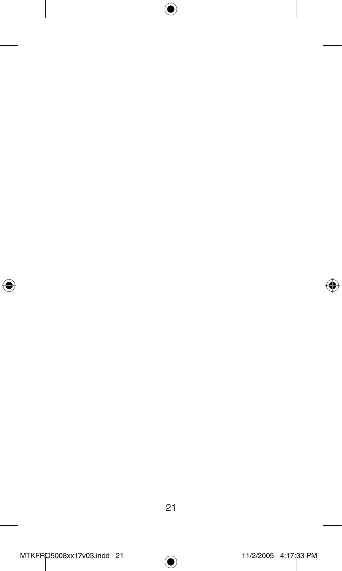

 $\overline{\phantom{a}}$ 



21

 $\bigoplus$ 

 $\overline{\phantom{a}}$ 

 $\bigoplus$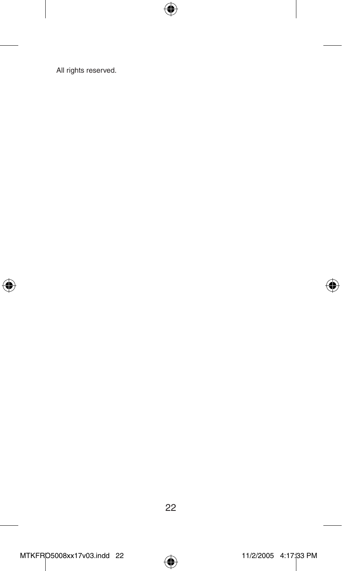

 $\overline{\phantom{a}}$ 

⊕

All rights reserved.

 $\overline{\phantom{a}}$ 





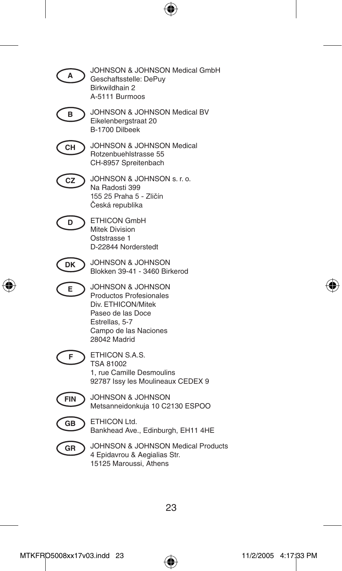

**A** JOHNSON & JOHNSON Medical GmbH Geschaftsstelle: DePuy Birkwildhain 2 A-5111 Burmoos



**B** JOHNSON & JOHNSON Medical BV Eikelenbergstraat 20 B-1700 Dilbeek



**CH** JOHNSON & JOHNSON Medical Rotzenbuehlstrasse 55 CH-8957 Spreitenbach



**CZ** JOHNSON & JOHNSON s. r. o. Na Radosti 399 155 25 Praha 5 - Zličín Česká republika



**D** ETHICON GmbH Mitek Division Oststrasse 1 D-22844 Norderstedt



**DK** JOHNSON & JOHNSON Blokken 39-41 - 3460 Birkerod



**E** JOHNSON & JOHNSON Productos Profesionales Div. ETHICON/Mitek Paseo de las Doce Estrellas, 5-7 Campo de las Naciones 28042 Madrid



**F** ETHICON S.A.S. TSA 81002 1, rue Camille Desmoulins 92787 Issy les Moulineaux CEDEX 9



**FIN** JOHNSON & JOHNSON Metsanneidonkuja 10 C2130 ESPOO



**GB** ETHICON Ltd. Bankhead Ave., Edinburgh, EH11 4HE



**GR** JOHNSON & JOHNSON Medical Products 4 Epidavrou & Aegialias Str. 15125 Maroussi, Athens

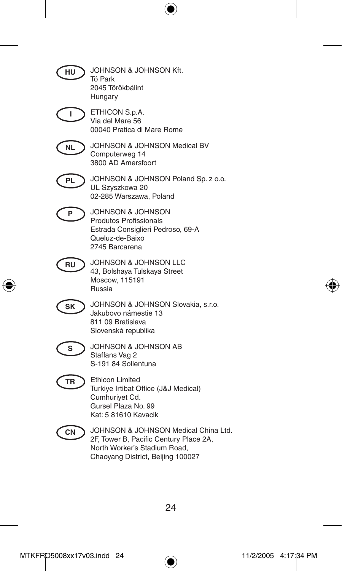| HU        | <b>JOHNSON &amp; JOHNSON Kft.</b><br>Tó Park<br>2045 Törökbálint<br>Hungary                                                             |
|-----------|-----------------------------------------------------------------------------------------------------------------------------------------|
| ı         | ETHICON S.p.A.<br>Via del Mare 56<br>00040 Pratica di Mare Rome                                                                         |
| NL        | JOHNSON & JOHNSON Medical BV<br>Computerweg 14<br>3800 AD Amersfoort                                                                    |
| PL        | JOHNSON & JOHNSON Poland Sp. z o.o.<br>UL Szyszkowa 20<br>02-285 Warszawa, Poland                                                       |
| P         | <b>JOHNSON &amp; JOHNSON</b><br><b>Produtos Profissionals</b><br>Estrada Consiglieri Pedroso, 69-A<br>Queluz-de-Baixo<br>2745 Barcarena |
| RU        | JOHNSON & JOHNSON LLC<br>43, Bolshaya Tulskaya Street<br>Moscow, 115191<br>Russia                                                       |
| <b>SK</b> | JOHNSON & JOHNSON Slovakia, s.r.o.<br>Jakubovo námestie 13<br>811 09 Bratislava<br>Slovenská republika                                  |
| s         | JOHNSON & JOHNSON AB<br>Staffans Vag 2<br>S-191 84 Sollentuna                                                                           |
| TR        | <b>Ethicon Limited</b><br>Turkiye Irtibat Office (J&J Medical)<br>Cumhuriyet Cd.<br>Gursel Plaza No. 99<br>Kat: 5 81610 Kavacik         |
| CN        | JOHNSON & JOHNSON Medical China Ltd.<br>2F, Tower B, Pacific Century Place 2A,                                                          |

⊕

- 2F, Tower B, Pacific Century Place 2A, North Worker's Stadium Road, Chaoyang District, Beijing 100027
	- 24

€

⊕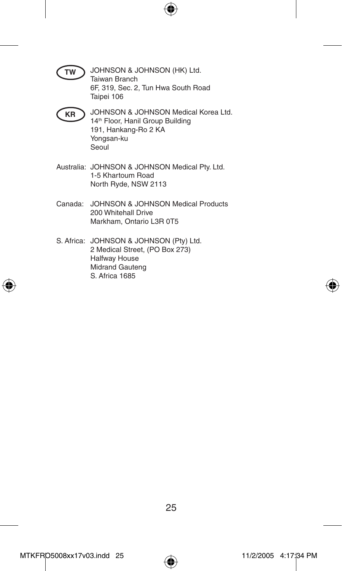

**TW JOHNSON & JOHNSON (HK) Ltd.**  Taiwan Branch 6F, 319, Sec. 2, Tun Hwa South Road Taipei 106



**KR** JOHNSON & JOHNSON Medical Korea Ltd. 14<sup>th</sup> Floor, Hanil Group Building 191, Hankang-Ro 2 KA Yongsan-ku Seoul

Australia: JOHNSON & JOHNSON Medical Pty. Ltd. 1-5 Khartoum Road North Ryde, NSW 2113

Canada: JOHNSON & JOHNSON Medical Products 200 Whitehall Drive Markham, Ontario L3R 0T5

S. Africa: JOHNSON & JOHNSON (Pty) Ltd. 2 Medical Street, (PO Box 273) Halfway House Midrand Gauteng S. Africa 1685

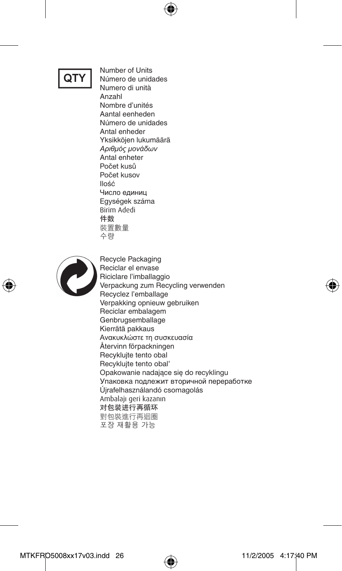## QT

 Number of Units Número de unidades Numero di unità Anzahl Nombre d'unités Aantal eenheden Número de unidades Antal enheder Yksikköjen lukumäärä *Αριθμός μονάδων*  Antal enheter Počet kusů Počet kusov Ilość Число единиц Egységek száma Birim Adedi 件数 裝置數量 수량



 Recycle Packaging Reciclar el envase Riciclare l'imballaggio Verpackung zum Recycling verwenden Recyclez l'emballage Verpakking opnieuw gebruiken Reciclar embalagem Genbrugsemballage Kierrätä pakkaus Ανακυκλώστε τη συσκευασία Återvinn förpackningen Recyklujte tento obal Recyklujte tento obal' Opakowanie nadające się do recyklingu Упаковка подлежит вторичной переработке Újrafelhasználandó csomagolás Ambalajı geri kazanın 对包装进行再循环 對包裝進行再迴圈 포장 재활용 가능